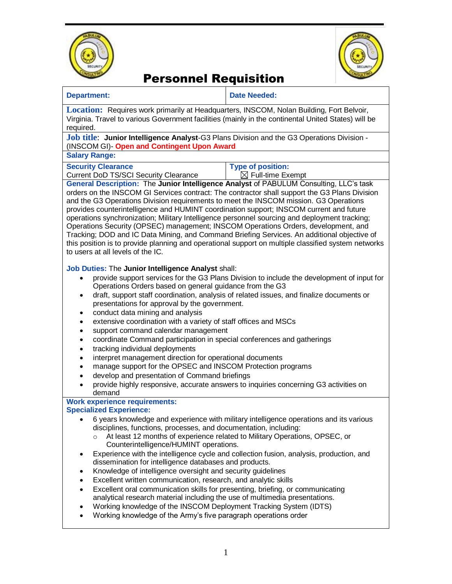



# Personnel Requisition

| <b>Department:</b>                                                                                                                                                                                                                                                                                                                                                                                                                                                                                                                                                                                                                                                                                                                                                                                                                                                                                                                                                             | <b>Date Needed:</b>                                                                                                                                                                                                                                             |
|--------------------------------------------------------------------------------------------------------------------------------------------------------------------------------------------------------------------------------------------------------------------------------------------------------------------------------------------------------------------------------------------------------------------------------------------------------------------------------------------------------------------------------------------------------------------------------------------------------------------------------------------------------------------------------------------------------------------------------------------------------------------------------------------------------------------------------------------------------------------------------------------------------------------------------------------------------------------------------|-----------------------------------------------------------------------------------------------------------------------------------------------------------------------------------------------------------------------------------------------------------------|
| <b>Location:</b> Requires work primarily at Headquarters, INSCOM, Nolan Building, Fort Belvoir,<br>Virginia. Travel to various Government facilities (mainly in the continental United States) will be<br>required.                                                                                                                                                                                                                                                                                                                                                                                                                                                                                                                                                                                                                                                                                                                                                            |                                                                                                                                                                                                                                                                 |
| Job title: Junior Intelligence Analyst-G3 Plans Division and the G3 Operations Division -<br>(INSCOM GI)- Open and Contingent Upon Award                                                                                                                                                                                                                                                                                                                                                                                                                                                                                                                                                                                                                                                                                                                                                                                                                                       |                                                                                                                                                                                                                                                                 |
| <b>Salary Range:</b>                                                                                                                                                                                                                                                                                                                                                                                                                                                                                                                                                                                                                                                                                                                                                                                                                                                                                                                                                           |                                                                                                                                                                                                                                                                 |
| <b>Security Clearance</b><br><b>Current DoD TS/SCI Security Clearance</b>                                                                                                                                                                                                                                                                                                                                                                                                                                                                                                                                                                                                                                                                                                                                                                                                                                                                                                      | <b>Type of position:</b><br>$\boxtimes$ Full-time Exempt                                                                                                                                                                                                        |
| General Description: The Junior Intelligence Analyst of PABULUM Consulting, LLC's task<br>orders on the INSCOM GI Services contract: The contractor shall support the G3 Plans Division<br>and the G3 Operations Division requirements to meet the INSCOM mission. G3 Operations<br>provides counterintelligence and HUMINT coordination support; INSCOM current and future<br>operations synchronization; Military Intelligence personnel sourcing and deployment tracking;<br>Operations Security (OPSEC) management; INSCOM Operations Orders, development, and<br>Tracking; DOD and IC Data Mining, and Command Briefing Services. An additional objective of<br>this position is to provide planning and operational support on multiple classified system networks<br>to users at all levels of the IC.                                                                                                                                                                  |                                                                                                                                                                                                                                                                 |
| Job Duties: The Junior Intelligence Analyst shall:<br>provide support services for the G3 Plans Division to include the development of input for<br>Operations Orders based on general guidance from the G3<br>draft, support staff coordination, analysis of related issues, and finalize documents or<br>٠<br>presentations for approval by the government.<br>conduct data mining and analysis<br>٠<br>extensive coordination with a variety of staff offices and MSCs<br>support command calendar management<br>٠<br>coordinate Command participation in special conferences and gatherings<br>٠<br>tracking individual deployments<br>٠<br>interpret management direction for operational documents<br>$\bullet$<br>manage support for the OPSEC and INSCOM Protection programs<br>$\bullet$<br>develop and presentation of Command briefings<br>$\bullet$<br>provide highly responsive, accurate answers to inquiries concerning G3 activities on<br>$\bullet$<br>demand |                                                                                                                                                                                                                                                                 |
| <b>Work experience requirements:</b>                                                                                                                                                                                                                                                                                                                                                                                                                                                                                                                                                                                                                                                                                                                                                                                                                                                                                                                                           |                                                                                                                                                                                                                                                                 |
| <b>Specialized Experience:</b><br>disciplines, functions, processes, and documentation, including:<br>$\circ$<br>Counterintelligence/HUMINT operations.<br>$\bullet$<br>dissemination for intelligence databases and products.<br>Knowledge of intelligence oversight and security guidelines<br>٠<br>Excellent written communication, research, and analytic skills<br>Excellent oral communication skills for presenting, briefing, or communicating<br>$\bullet$<br>analytical research material including the use of multimedia presentations.<br>Working knowledge of the INSCOM Deployment Tracking System (IDTS)<br>$\bullet$<br>Working knowledge of the Army's five paragraph operations order<br>$\bullet$                                                                                                                                                                                                                                                           | 6 years knowledge and experience with military intelligence operations and its various<br>At least 12 months of experience related to Military Operations, OPSEC, or<br>Experience with the intelligence cycle and collection fusion, analysis, production, and |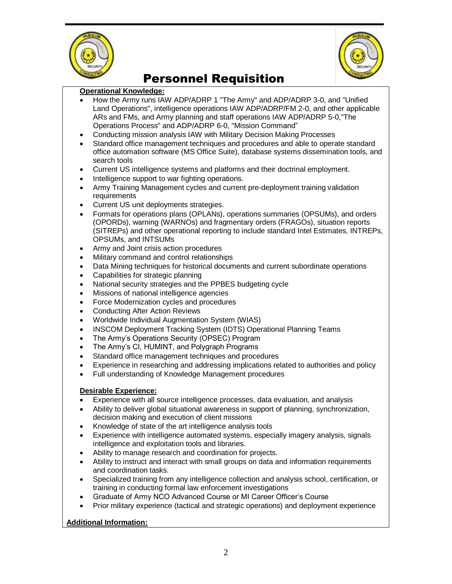



# Personnel Requisition

#### **Operational Knowledge:**

- How the Army runs IAW ADP/ADRP 1 "The Army" and ADP/ADRP 3-0, and "Unified Land Operations", intelligence operations IAW ADP/ADRP/FM 2-0, and other applicable ARs and FMs, and Army planning and staff operations IAW ADP/ADRP 5-0,"The Operations Process" and ADP/ADRP 6-0, "Mission Command"
- Conducting mission analysis IAW with Military Decision Making Processes
- Standard office management techniques and procedures and able to operate standard office automation software (MS Office Suite), database systems dissemination tools, and search tools
- Current US intelligence systems and platforms and their doctrinal employment.
- Intelligence support to war fighting operations.
- Army Training Management cycles and current pre-deployment training validation **requirements**
- Current US unit deployments strategies.
- Formats for operations plans (OPLANs), operations summaries (OPSUMs), and orders (OPORDs), warning (WARNOs) and fragmentary orders (FRAGOs), situation reports (SITREPs) and other operational reporting to include standard Intel Estimates, INTREPs, OPSUMs, and INTSUMs
- Army and Joint crisis action procedures
- Military command and control relationships
- Data Mining techniques for historical documents and current subordinate operations
- Capabilities for strategic planning
- National security strategies and the PPBES budgeting cycle
- Missions of national intelligence agencies
- Force Modernization cycles and procedures
- Conducting After Action Reviews
- Worldwide Individual Augmentation System (WIAS)
- INSCOM Deployment Tracking System (IDTS) Operational Planning Teams
- The Army's Operations Security (OPSEC) Program
- The Army's CI, HUMINT, and Polygraph Programs
- Standard office management techniques and procedures
- Experience in researching and addressing implications related to authorities and policy
- Full understanding of Knowledge Management procedures

### **Desirable Experience:**

- Experience with all source intelligence processes, data evaluation, and analysis
- Ability to deliver global situational awareness in support of planning, synchronization, decision making and execution of client missions
- Knowledge of state of the art intelligence analysis tools
- Experience with intelligence automated systems, especially imagery analysis, signals intelligence and exploitation tools and libraries.
- Ability to manage research and coordination for projects.
- Ability to instruct and interact with small groups on data and information requirements and coordination tasks.
- Specialized training from any intelligence collection and analysis school, certification, or training in conducting formal law enforcement investigations
- Graduate of Army NCO Advanced Course or MI Career Officer's Course
- Prior military experience (tactical and strategic operations) and deployment experience

### **Additional Information:**